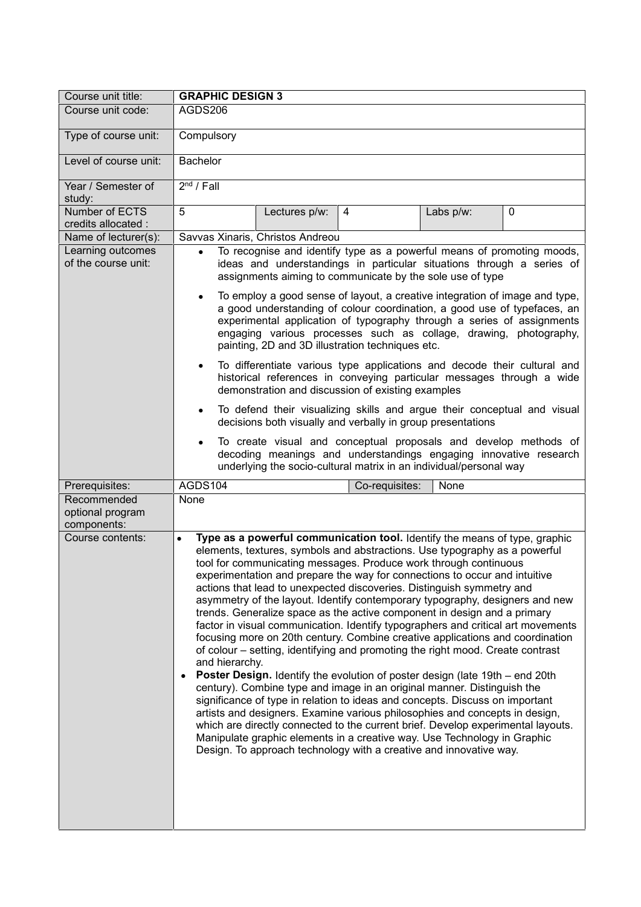| Course unit title:                             | <b>GRAPHIC DESIGN 3</b>                                                                                                                                                                                                                                                                                                                                                                                                                                                                                                                                                                                                                                                                                                                                                                                                                                                                                                                                                                                                                                                                                                                                                                                                                                                                                                                                                                                            |
|------------------------------------------------|--------------------------------------------------------------------------------------------------------------------------------------------------------------------------------------------------------------------------------------------------------------------------------------------------------------------------------------------------------------------------------------------------------------------------------------------------------------------------------------------------------------------------------------------------------------------------------------------------------------------------------------------------------------------------------------------------------------------------------------------------------------------------------------------------------------------------------------------------------------------------------------------------------------------------------------------------------------------------------------------------------------------------------------------------------------------------------------------------------------------------------------------------------------------------------------------------------------------------------------------------------------------------------------------------------------------------------------------------------------------------------------------------------------------|
| Course unit code:                              | AGDS206                                                                                                                                                                                                                                                                                                                                                                                                                                                                                                                                                                                                                                                                                                                                                                                                                                                                                                                                                                                                                                                                                                                                                                                                                                                                                                                                                                                                            |
| Type of course unit:                           | Compulsory                                                                                                                                                                                                                                                                                                                                                                                                                                                                                                                                                                                                                                                                                                                                                                                                                                                                                                                                                                                                                                                                                                                                                                                                                                                                                                                                                                                                         |
| Level of course unit:                          | <b>Bachelor</b>                                                                                                                                                                                                                                                                                                                                                                                                                                                                                                                                                                                                                                                                                                                                                                                                                                                                                                                                                                                                                                                                                                                                                                                                                                                                                                                                                                                                    |
| Year / Semester of<br>study:                   | $2nd$ / Fall                                                                                                                                                                                                                                                                                                                                                                                                                                                                                                                                                                                                                                                                                                                                                                                                                                                                                                                                                                                                                                                                                                                                                                                                                                                                                                                                                                                                       |
| Number of ECTS<br>credits allocated :          | 5<br>Lectures p/w:<br>4<br>Labs p/w:<br>0                                                                                                                                                                                                                                                                                                                                                                                                                                                                                                                                                                                                                                                                                                                                                                                                                                                                                                                                                                                                                                                                                                                                                                                                                                                                                                                                                                          |
| Name of lecturer(s):                           | Savvas Xinaris, Christos Andreou                                                                                                                                                                                                                                                                                                                                                                                                                                                                                                                                                                                                                                                                                                                                                                                                                                                                                                                                                                                                                                                                                                                                                                                                                                                                                                                                                                                   |
| Learning outcomes<br>of the course unit:       | To recognise and identify type as a powerful means of promoting moods,<br>$\bullet$<br>ideas and understandings in particular situations through a series of<br>assignments aiming to communicate by the sole use of type<br>To employ a good sense of layout, a creative integration of image and type,<br>٠<br>a good understanding of colour coordination, a good use of typefaces, an                                                                                                                                                                                                                                                                                                                                                                                                                                                                                                                                                                                                                                                                                                                                                                                                                                                                                                                                                                                                                          |
|                                                | experimental application of typography through a series of assignments<br>engaging various processes such as collage, drawing, photography,<br>painting, 2D and 3D illustration techniques etc.                                                                                                                                                                                                                                                                                                                                                                                                                                                                                                                                                                                                                                                                                                                                                                                                                                                                                                                                                                                                                                                                                                                                                                                                                    |
|                                                | To differentiate various type applications and decode their cultural and<br>$\bullet$<br>historical references in conveying particular messages through a wide<br>demonstration and discussion of existing examples                                                                                                                                                                                                                                                                                                                                                                                                                                                                                                                                                                                                                                                                                                                                                                                                                                                                                                                                                                                                                                                                                                                                                                                                |
|                                                | To defend their visualizing skills and argue their conceptual and visual<br>$\bullet$<br>decisions both visually and verbally in group presentations                                                                                                                                                                                                                                                                                                                                                                                                                                                                                                                                                                                                                                                                                                                                                                                                                                                                                                                                                                                                                                                                                                                                                                                                                                                               |
|                                                | To create visual and conceptual proposals and develop methods of<br>decoding meanings and understandings engaging innovative research<br>underlying the socio-cultural matrix in an individual/personal way                                                                                                                                                                                                                                                                                                                                                                                                                                                                                                                                                                                                                                                                                                                                                                                                                                                                                                                                                                                                                                                                                                                                                                                                        |
| Prerequisites:                                 | AGDS104<br>None<br>Co-requisites:                                                                                                                                                                                                                                                                                                                                                                                                                                                                                                                                                                                                                                                                                                                                                                                                                                                                                                                                                                                                                                                                                                                                                                                                                                                                                                                                                                                  |
| Recommended<br>optional program<br>components: | None                                                                                                                                                                                                                                                                                                                                                                                                                                                                                                                                                                                                                                                                                                                                                                                                                                                                                                                                                                                                                                                                                                                                                                                                                                                                                                                                                                                                               |
| Course contents:                               | Type as a powerful communication tool. Identify the means of type, graphic<br>$\bullet$<br>elements, textures, symbols and abstractions. Use typography as a powerful<br>tool for communicating messages. Produce work through continuous<br>experimentation and prepare the way for connections to occur and intuitive<br>actions that lead to unexpected discoveries. Distinguish symmetry and<br>asymmetry of the layout. Identify contemporary typography, designers and new<br>trends. Generalize space as the active component in design and a primary<br>factor in visual communication. Identify typographers and critical art movements<br>focusing more on 20th century. Combine creative applications and coordination<br>of colour – setting, identifying and promoting the right mood. Create contrast<br>and hierarchy.<br>Poster Design. Identify the evolution of poster design (late 19th – end 20th<br>$\bullet$<br>century). Combine type and image in an original manner. Distinguish the<br>significance of type in relation to ideas and concepts. Discuss on important<br>artists and designers. Examine various philosophies and concepts in design,<br>which are directly connected to the current brief. Develop experimental layouts.<br>Manipulate graphic elements in a creative way. Use Technology in Graphic<br>Design. To approach technology with a creative and innovative way. |